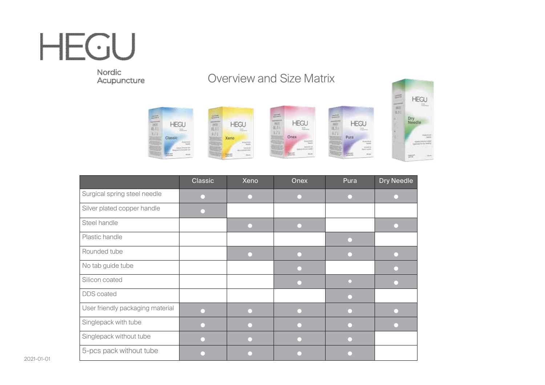Nordic<br>Acupuncture

### Overview and Size Matrix





|                                  | Classic | Xeno | Onex | Pura | <b>Dry Needle</b> |
|----------------------------------|---------|------|------|------|-------------------|
| Surgical spring steel needle     |         |      |      |      |                   |
| Silver plated copper handle      |         |      |      |      |                   |
| Steel handle                     |         |      |      |      |                   |
| Plastic handle                   |         |      |      |      |                   |
| Rounded tube                     |         |      |      |      |                   |
| No tab guide tube                |         |      |      |      |                   |
| Silicon coated                   |         |      |      |      |                   |
| <b>DDS</b> coated                |         |      |      |      |                   |
| User friendly packaging material |         |      |      |      |                   |
| Singlepack with tube             |         |      |      |      |                   |
| Singlepack without tube          |         |      |      |      |                   |
| 5-pcs pack without tube          |         |      |      |      |                   |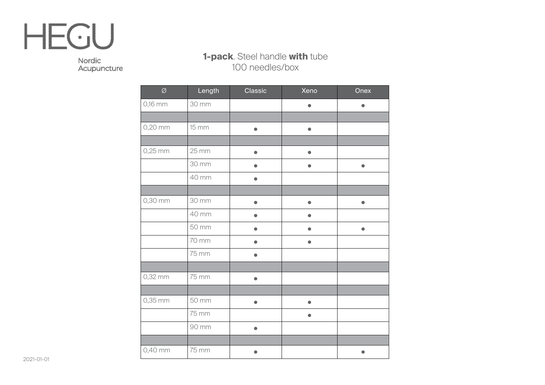Nordic Acupuncture

#### **1-pack**. Steel handle **with** tube 100 needles/box

| $\varnothing$ | Length | Classic   | Xeno      | Onex      |
|---------------|--------|-----------|-----------|-----------|
| 0,16 mm       | 30 mm  |           | $\bullet$ |           |
|               |        |           |           |           |
| 0,20 mm       | 15 mm  | $\bullet$ | $\bullet$ |           |
|               |        |           |           |           |
| $0,25$ mm     | 25 mm  | $\bullet$ | $\bullet$ |           |
|               | 30 mm  | $\bullet$ | $\bullet$ | $\bullet$ |
|               | 40 mm  | $\bullet$ |           |           |
|               |        |           |           |           |
| 0,30 mm       | 30 mm  | $\bullet$ | $\bullet$ | $\bullet$ |
|               | 40 mm  | $\bullet$ | 0         |           |
|               | 50 mm  | $\bullet$ |           |           |
|               | 70 mm  |           |           |           |
|               | 75 mm  | $\bullet$ |           |           |
|               |        |           |           |           |
| 0,32 mm       | 75 mm  | O         |           |           |
|               |        |           |           |           |
| 0,35 mm       | 50 mm  | $\bullet$ |           |           |
|               | 75 mm  |           |           |           |
|               | 90 mm  | $\bullet$ |           |           |
|               |        |           |           |           |
| 0,40 mm       | 75 mm  |           |           |           |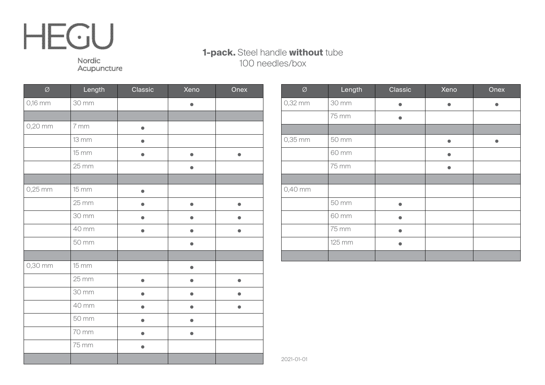#### **1-pack.** Steel handle **without** tube 100 needles/box

Nordic Acupuncture

| Ø         | Length              | Classic   | Xeno      | Onex      |
|-----------|---------------------|-----------|-----------|-----------|
| 0,16 mm   | 30 mm               |           |           |           |
|           |                     |           |           |           |
| 0,20 mm   | 7 mm                |           |           |           |
|           | <b>13 mm</b>        |           |           |           |
|           | 15 mm               |           | $\bullet$ |           |
|           | 25 mm               |           | $\bullet$ |           |
|           |                     |           |           |           |
| $0,25$ mm | 15 mm               | $\bullet$ |           |           |
|           | $25 \, \mathrm{mm}$ |           |           |           |
|           | 30 mm               |           |           |           |
|           | 40 mm               | $\bullet$ | O         | O         |
|           | 50 mm               |           | ●         |           |
|           |                     |           |           |           |
| 0,30 mm   | 15 mm               |           | $\bullet$ |           |
|           | 25 mm               | $\bullet$ | $\bullet$ | $\bullet$ |
|           | 30 mm               | æ         | O         |           |
|           | 40 mm               |           | O         |           |
|           | 50 mm               | 0         | ●         |           |
|           | 70 mm               | $\bullet$ | $\bullet$ |           |
|           | 75 mm               | $\bullet$ |           |           |
|           |                     |           |           |           |

| $\varnothing$ | Length | Classic | Xeno | Onex |
|---------------|--------|---------|------|------|
| 0,32 mm       | 30 mm  |         | e    |      |
|               | 75 mm  |         |      |      |
|               |        |         |      |      |
| 0,35 mm       | 50 mm  |         |      |      |
|               | 60 mm  |         |      |      |
|               | 75 mm  |         |      |      |
|               |        |         |      |      |
| 0,40 mm       |        |         |      |      |
|               | 50 mm  |         |      |      |
|               | 60 mm  |         |      |      |
|               | 75 mm  |         |      |      |
|               | 125 mm |         |      |      |
|               |        |         |      |      |

2021-01-01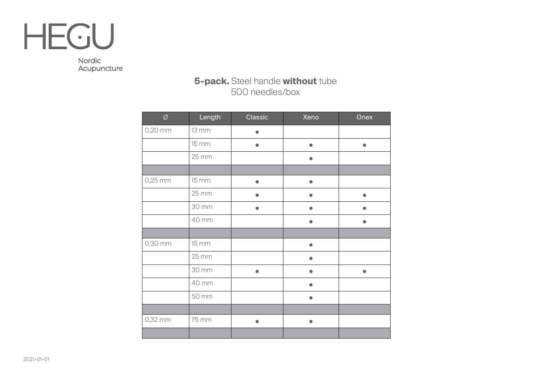

Nordic Acupuncture

#### **5-pack.** Steel handle **without** tube 500 needles/box

| $\varnothing$ | Length              | Classic   | Xeno      | Onex      |
|---------------|---------------------|-----------|-----------|-----------|
| 0,20 mm       | <b>13 mm</b>        |           |           |           |
|               | 15 mm               | $\bullet$ | $\bullet$ | $\bullet$ |
|               | $25 \, \mathrm{mm}$ |           | $\bullet$ |           |
|               |                     |           |           |           |
| $0,25$ mm     | 15 mm               | $\bullet$ | 0         |           |
|               | 25 mm               |           |           | ●         |
|               | 30 mm               |           |           |           |
|               | 40 mm               |           |           |           |
|               |                     |           |           |           |
| 0,30 mm       | 15 mm               |           |           |           |
|               | 25 mm               |           |           |           |
|               | 30 mm               | $\bullet$ |           |           |
|               | 40 mm               |           |           |           |
|               | 50 mm               |           |           |           |
|               |                     |           |           |           |
| 0,32 mm       | 75 mm               | $\bullet$ | $\bullet$ |           |
|               |                     |           |           |           |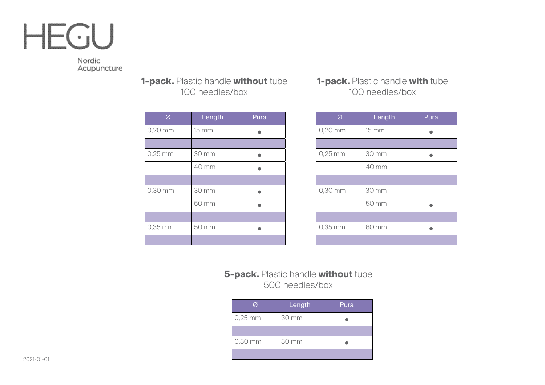Nordic Acupuncture

> **1-pack.** Plastic handle **without** tube 100 needles/box

| Ø         | Length | Pura |
|-----------|--------|------|
| 0,20 mm   | 15 mm  |      |
|           |        |      |
| $0,25$ mm | 30 mm  |      |
|           | 40 mm  |      |
|           |        |      |
| 0,30 mm   | 30 mm  |      |
|           | 50 mm  |      |
|           |        |      |
| 0,35 mm   | 50 mm  |      |
|           |        |      |

#### **1-pack.** Plastic handle **with** tube 100 needles/box

| Ø         | Length | Pura |
|-----------|--------|------|
| $0,20$ mm | 15 mm  |      |
|           |        |      |
| $0,25$ mm | 30 mm  |      |
|           | 40 mm  |      |
|           |        |      |
| 0,30 mm   | 30 mm  |      |
|           | 50 mm  |      |
|           |        |      |
| 0,35 mm   | 60 mm  |      |
|           |        |      |

#### **5-pack.** Plastic handle **without** tube 500 needles/box

| Ø         | Length | Pura |
|-----------|--------|------|
| $0,25$ mm | 30 mm  |      |
|           |        |      |
| 0,30 mm   | 30 mm  |      |
|           |        |      |